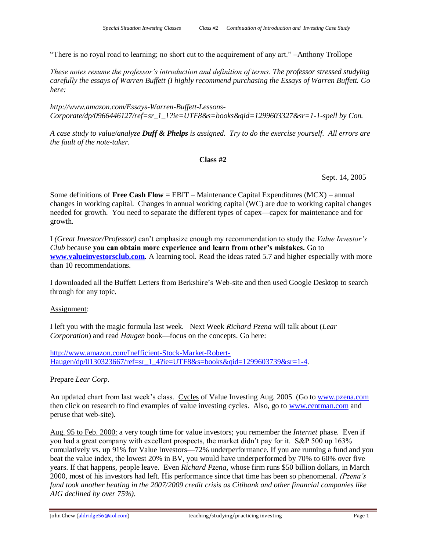"There is no royal road to learning; no short cut to the acquirement of any art." –Anthony Trollope

*These notes resume the professor's introduction and definition of terms. The professor stressed studying carefully the essays of Warren Buffett (I highly recommend purchasing the Essays of Warren Buffett. Go here:* 

*http://www.amazon.com/Essays-Warren-Buffett-Lessons-Corporate/dp/0966446127/ref=sr\_1\_1?ie=UTF8&s=books&qid=1299603327&sr=1-1-spell by Con.*

*A case study to value/analyze Duff & Phelps is assigned. Try to do the exercise yourself. All errors are the fault of the note-taker.*

# **Class #2**

Sept. 14, 2005

Some definitions of **Free Cash Flow** = EBIT – Maintenance Capital Expenditures (MCX) – annual changes in working capital. Changes in annual working capital (WC) are due to working capital changes needed for growth. You need to separate the different types of capex—capex for maintenance and for growth.

I *(Great Investor/Professor)* can't emphasize enough my recommendation to study the *Value Investor's Club* because **you can obtain more experience and learn from other's mistakes.** Go to **[www.valueinvestorsclub.com.](http://www.valueinvestorsclub.com/)** A learning tool. Read the ideas rated 5.7 and higher especially with more than 10 recommendations.

I downloaded all the Buffett Letters from Berkshire's Web-site and then used Google Desktop to search through for any topic.

# Assignment:

I left you with the magic formula last week. Next Week *Richard Pzena* will talk about (*Lear Corporation*) and read *Haugen* book—focus on the concepts. Go here:

[http://www.amazon.com/Inefficient-Stock-Market-Robert-](http://www.amazon.com/Inefficient-Stock-Market-Robert-Haugen/dp/0130323667/ref=sr_1_4?ie=UTF8&s=books&qid=1299603739&sr=1-4)[Haugen/dp/0130323667/ref=sr\\_1\\_4?ie=UTF8&s=books&qid=1299603739&sr=1-4.](http://www.amazon.com/Inefficient-Stock-Market-Robert-Haugen/dp/0130323667/ref=sr_1_4?ie=UTF8&s=books&qid=1299603739&sr=1-4)

Prepare *Lear Corp*.

An updated chart from last week's class. Cycles of Value Investing Aug. 2005 (Go to [www.pzena.com](http://www.pzena.com/) then click on research to find examples of value investing cycles. Also, go to [www.centman.com](http://www.centman.com/) and peruse that web-site).

Aug. 95 to Feb. 2000: a very tough time for value investors; you remember the *Internet* phase. Even if you had a great company with excellent prospects, the market didn't pay for it. S&P 500 up 163% cumulatively vs. up 91% for Value Investors—72% underperformance. If you are running a fund and you beat the value index, the lowest 20% in BV, you would have underperformed by 70% to 60% over five years. If that happens, people leave. Even *Richard Pzena,* whose firm runs \$50 billion dollars, in March 2000, most of his investors had left. His performance since that time has been so phenomenal. *(Pzena's fund took another beating in the 2007/2009 credit crisis as Citibank and other financial companies like AIG declined by over 75%).*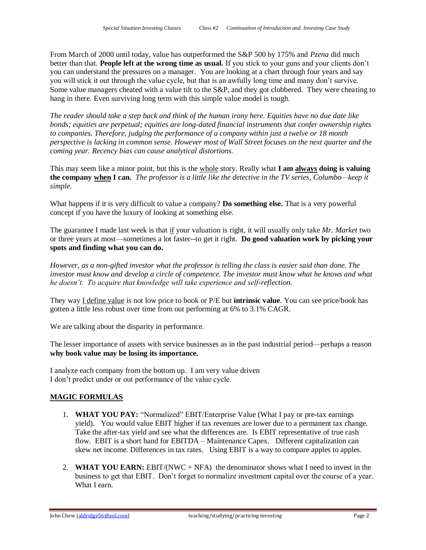From March of 2000 until today, value has outperformed the S&P 500 by 175% and *Pzena* did much better than that. **People left at the wrong time as usual.** If you stick to your guns and your clients don't you can understand the pressures on a manager. You are looking at a chart through four years and say you will stick it out through the value cycle, but that is an awfully long time and many don't survive. Some value managers cheated with a value tilt to the S&P, and they got clobbered. They were cheating to hang in there. Even surviving long term with this simple value model is tough.

*The reader should take a step back and think of the human irony here. Equities have no due date like bonds; equities are perpetual; equities are long-dated financial instruments that confer ownership rights to companies. Therefore, judging the performance of a company within just a twelve or 18 month perspective is lacking in common sense. However most of Wall Street focuses on the next quarter and the coming year. Recency bias can cause analytical distortions.* 

This may seem like a minor point, but this is the whole story. Really what **I am always doing is valuing the company when I can.** *The professor is a little like the detective in the TV series, Columbo—keep it simple.*

What happens if it is very difficult to value a company? **Do something else.** That is a very powerful concept if you have the luxury of looking at something else.

The guarantee I made last week is that if your valuation is right, it will usually only take *Mr. Market* two or three years at most—sometimes a lot faster--to get it right. **Do good valuation work by picking your spots and finding what you can do.** 

*However, as a non-gifted investor what the professor is telling the class is easier said than done. The investor must know and develop a circle of competence. The investor must know what he knows and what he doesn't. To acquire that knowledge will take experience and self-reflection.*

They way I define value is not low price to book or P/E but **intrinsic value**. You can see price/book has gotten a little less robust over time from out performing at 6% to 3.1% CAGR.

We are talking about the disparity in performance.

The lesser importance of assets with service businesses as in the past industrial period—perhaps a reason **why book value may be losing its importance.**

I analyze each company from the bottom up. I am very value driven I don't predict under or out performance of the value cycle.

# **MAGIC FORMULAS**

- 1. **WHAT YOU PAY:** "Normalized" EBIT/Enterprise Value (What I pay or pre-tax earnings yield). You would value EBIT higher if tax revenues are lower due to a permanent tax change. Take the after-tax yield and see what the differences are. Is EBIT representative of true cash flow. EBIT is a short hand for EBITDA – Maintenance Capex. Different capitalization can skew net income. Differences in tax rates. Using EBIT is a way to compare apples to apples.
- 2. **WHAT YOU EARN:** EBIT/(NWC + NFA) the denominator shows what I need to invest in the business to get that EBIT. Don't forget to normalize investment capital over the course of a year. What I earn.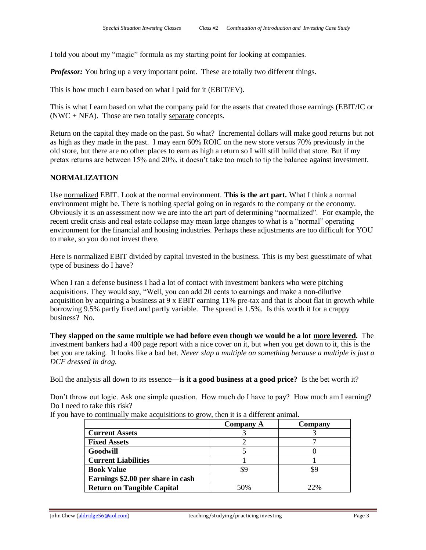I told you about my "magic" formula as my starting point for looking at companies.

*Professor:* You bring up a very important point. These are totally two different things.

This is how much I earn based on what I paid for it (EBIT/EV).

This is what I earn based on what the company paid for the assets that created those earnings (EBIT/IC or  $(NWC + NFA)$ . Those are two totally separate concepts.

Return on the capital they made on the past. So what? Incremental dollars will make good returns but not as high as they made in the past. I may earn 60% ROIC on the new store versus 70% previously in the old store, but there are no other places to earn as high a return so I will still build that store. But if my pretax returns are between 15% and 20%, it doesn't take too much to tip the balance against investment.

# **NORMALIZATION**

Use normalized EBIT. Look at the normal environment. **This is the art part.** What I think a normal environment might be. There is nothing special going on in regards to the company or the economy. Obviously it is an assessment now we are into the art part of determining "normalized". For example, the recent credit crisis and real estate collapse may mean large changes to what is a "normal" operating environment for the financial and housing industries. Perhaps these adjustments are too difficult for YOU to make, so you do not invest there.

Here is normalized EBIT divided by capital invested in the business. This is my best guesstimate of what type of business do I have?

When I ran a defense business I had a lot of contact with investment bankers who were pitching acquisitions. They would say, "Well, you can add 20 cents to earnings and make a non-dilutive acquisition by acquiring a business at  $9 \times$  EBIT earning 11% pre-tax and that is about flat in growth while borrowing 9.5% partly fixed and partly variable. The spread is 1.5%. Is this worth it for a crappy business? No.

**They slapped on the same multiple we had before even though we would be a lot more levered.** The investment bankers had a 400 page report with a nice cover on it, but when you get down to it, this is the bet you are taking. It looks like a bad bet. *Never slap a multiple on something because a multiple is just a DCF dressed in drag.*

Boil the analysis all down to its essence—**is it a good business at a good price?** Is the bet worth it?

Don't throw out logic. Ask one simple question. How much do I have to pay? How much am I earning? Do I need to take this risk?

|                                   | <b>Company A</b> | Company |
|-----------------------------------|------------------|---------|
| <b>Current Assets</b>             |                  |         |
| <b>Fixed Assets</b>               |                  |         |
| Goodwill                          |                  |         |
| <b>Current Liabilities</b>        |                  |         |
| <b>Book Value</b>                 |                  |         |
| Earnings \$2.00 per share in cash |                  |         |
| <b>Return on Tangible Capital</b> | 50%              | 22%     |

If you have to continually make acquisitions to grow, then it is a different animal.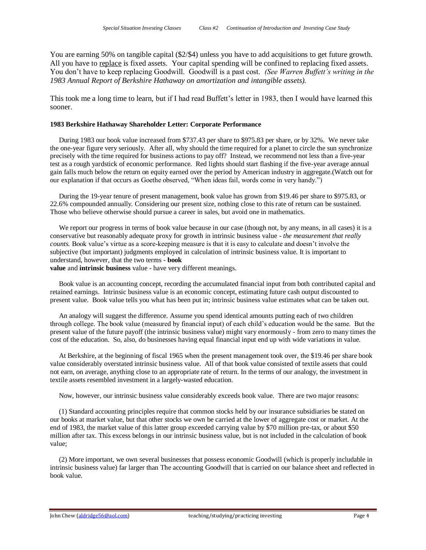You are earning 50% on tangible capital (\$2/\$4) unless you have to add acquisitions to get future growth. All you have to replace is fixed assets. Your capital spending will be confined to replacing fixed assets. You don't have to keep replacing Goodwill. Goodwill is a past cost. *(See Warren Buffett's writing in the 1983 Annual Report of Berkshire Hathaway on amortization and intangible assets).*

This took me a long time to learn, but if I had read Buffett's letter in 1983, then I would have learned this sooner.

# **1983 Berkshire Hathaway Shareholder Letter: Corporate Performance**

 During 1983 our book value increased from \$737.43 per share to \$975.83 per share, or by 32%. We never take the one-year figure very seriously. After all, why should the time required for a planet to circle the sun synchronize precisely with the time required for business actions to pay off? Instead, we recommend not less than a five-year test as a rough yardstick of economic performance. Red lights should start flashing if the five-year average annual gain falls much below the return on equity earned over the period by American industry in aggregate.(Watch out for our explanation if that occurs as Goethe observed, "When ideas fail, words come in very handy.")

 During the 19-year tenure of present management, book value has grown from \$19.46 per share to \$975.83, or 22.6% compounded annually. Considering our present size, nothing close to this rate of return can be sustained. Those who believe otherwise should pursue a career in sales, but avoid one in mathematics.

We report our progress in terms of book value because in our case (though not, by any means, in all cases) it is a conservative but reasonably adequate proxy for growth in intrinsic business value - *the measurement that really counts.* Book value's virtue as a score-keeping measure is that it is easy to calculate and doesn't involve the subjective (but important) judgments employed in calculation of intrinsic business value. It is important to understand, however, that the two terms - **book**

**value** and **intrinsic business** value - have very different meanings.

 Book value is an accounting concept, recording the accumulated financial input from both contributed capital and retained earnings. Intrinsic business value is an economic concept, estimating future cash output discounted to present value. Book value tells you what has been put in; intrinsic business value estimates what can be taken out.

 An analogy will suggest the difference. Assume you spend identical amounts putting each of two children through college. The book value (measured by financial input) of each child's education would be the same. But the present value of the future payoff (the intrinsic business value) might vary enormously - from zero to many times the cost of the education. So, also, do businesses having equal financial input end up with wide variations in value.

 At Berkshire, at the beginning of fiscal 1965 when the present management took over, the \$19.46 per share book value considerably overstated intrinsic business value. All of that book value consisted of textile assets that could not earn, on average, anything close to an appropriate rate of return. In the terms of our analogy, the investment in textile assets resembled investment in a largely-wasted education.

Now, however, our intrinsic business value considerably exceeds book value. There are two major reasons:

 (1) Standard accounting principles require that common stocks held by our insurance subsidiaries be stated on our books at market value, but that other stocks we own be carried at the lower of aggregate cost or market. At the end of 1983, the market value of this latter group exceeded carrying value by \$70 million pre-tax, or about \$50 million after tax. This excess belongs in our intrinsic business value, but is not included in the calculation of book value;

 (2) More important, we own several businesses that possess economic Goodwill (which is properly includable in intrinsic business value) far larger than The accounting Goodwill that is carried on our balance sheet and reflected in book value.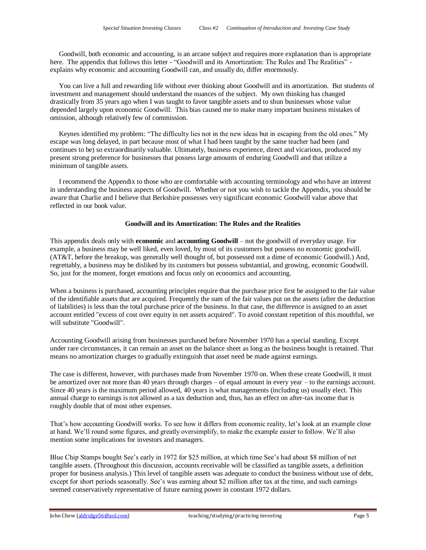Goodwill, both economic and accounting, is an arcane subject and requires more explanation than is appropriate here. The appendix that follows this letter - "Goodwill and its Amortization: The Rules and The Realities" explains why economic and accounting Goodwill can, and usually do, differ enormously.

 You can live a full and rewarding life without ever thinking about Goodwill and its amortization. But students of investment and management should understand the nuances of the subject. My own thinking has changed drastically from 35 years ago when I was taught to favor tangible assets and to shun businesses whose value depended largely upon economic Goodwill. This bias caused me to make many important business mistakes of omission, although relatively few of commission.

Keynes identified my problem: "The difficulty lies not in the new ideas but in escaping from the old ones." My escape was long delayed, in part because most of what I had been taught by the same teacher had been (and continues to be) so extraordinarily valuable. Ultimately, business experience, direct and vicarious, produced my present strong preference for businesses that possess large amounts of enduring Goodwill and that utilize a minimum of tangible assets.

 I recommend the Appendix to those who are comfortable with accounting terminology and who have an interest in understanding the business aspects of Goodwill. Whether or not you wish to tackle the Appendix, you should be aware that Charlie and I believe that Berkshire possesses very significant economic Goodwill value above that reflected in our book value.

# **Goodwill and its Amortization: The Rules and the Realities**

This appendix deals only with **economic** and **accounting Goodwill** – not the goodwill of everyday usage. For example, a business may be well liked, even loved, by most of its customers but possess no economic goodwill. (AT&T, before the breakup, was generally well thought of, but possessed not a dime of economic Goodwill.) And, regrettably, a business may be disliked by its customers but possess substantial, and growing, economic Goodwill. So, just for the moment, forget emotions and focus only on economics and accounting.

When a business is purchased, accounting principles require that the purchase price first be assigned to the fair value of the identifiable assets that are acquired. Frequently the sum of the fair values put on the assets (after the deduction of liabilities) is less than the total purchase price of the business. In that case, the difference is assigned to an asset account entitled "excess of cost over equity in net assets acquired". To avoid constant repetition of this mouthful, we will substitute "Goodwill".

Accounting Goodwill arising from businesses purchased before November 1970 has a special standing. Except under rare circumstances, it can remain an asset on the balance sheet as long as the business bought is retained. That means no amortization charges to gradually extinguish that asset need be made against earnings.

The case is different, however, with purchases made from November 1970 on. When these create Goodwill, it must be amortized over not more than 40 years through charges – of equal amount in every year – to the earnings account. Since 40 years is the maximum period allowed, 40 years is what managements (including us) usually elect. This annual charge to earnings is not allowed as a tax deduction and, thus, has an effect on after-tax income that is roughly double that of most other expenses.

That's how accounting Goodwill works. To see how it differs from economic reality, let's look at an example close at hand. We'll round some figures, and greatly oversimplify, to make the example easier to follow. We'll also mention some implications for investors and managers.

Blue Chip Stamps bought See's early in 1972 for \$25 million, at which time See's had about \$8 million of net tangible assets. (Throughout this discussion, accounts receivable will be classified as tangible assets, a definition proper for business analysis.) This level of tangible assets was adequate to conduct the business without use of debt, except for short periods seasonally. See's was earning about \$2 million after tax at the time, and such earnings seemed conservatively representative of future earning power in constant 1972 dollars.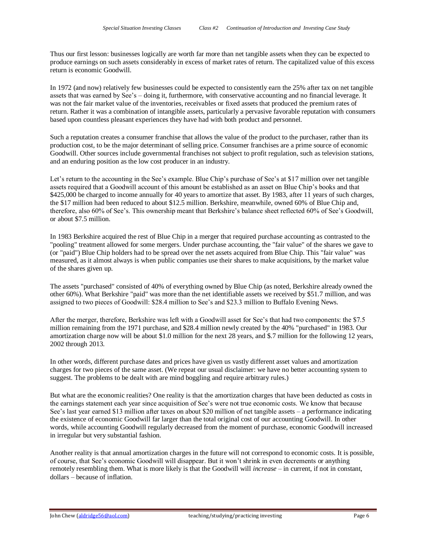Thus our first lesson: businesses logically are worth far more than net tangible assets when they can be expected to produce earnings on such assets considerably in excess of market rates of return. The capitalized value of this excess return is economic Goodwill.

In 1972 (and now) relatively few businesses could be expected to consistently earn the 25% after tax on net tangible assets that was earned by See's – doing it, furthermore, with conservative accounting and no financial leverage. It was not the fair market value of the inventories, receivables or fixed assets that produced the premium rates of return. Rather it was a combination of intangible assets, particularly a pervasive favorable reputation with consumers based upon countless pleasant experiences they have had with both product and personnel.

Such a reputation creates a consumer franchise that allows the value of the product to the purchaser, rather than its production cost, to be the major determinant of selling price. Consumer franchises are a prime source of economic Goodwill. Other sources include governmental franchises not subject to profit regulation, such as television stations, and an enduring position as the low cost producer in an industry.

Let's return to the accounting in the See's example. Blue Chip's purchase of See's at \$17 million over net tangible assets required that a Goodwill account of this amount be established as an asset on Blue Chip's books and that \$425,000 be charged to income annually for 40 years to amortize that asset. By 1983, after 11 years of such charges, the \$17 million had been reduced to about \$12.5 million. Berkshire, meanwhile, owned 60% of Blue Chip and, therefore, also 60% of See's. This ownership meant that Berkshire's balance sheet reflected 60% of See's Goodwill, or about \$7.5 million.

In 1983 Berkshire acquired the rest of Blue Chip in a merger that required purchase accounting as contrasted to the "pooling" treatment allowed for some mergers. Under purchase accounting, the "fair value" of the shares we gave to (or "paid") Blue Chip holders had to be spread over the net assets acquired from Blue Chip. This "fair value" was measured, as it almost always is when public companies use their shares to make acquisitions, by the market value of the shares given up.

The assets "purchased" consisted of 40% of everything owned by Blue Chip (as noted, Berkshire already owned the other 60%). What Berkshire "paid" was more than the net identifiable assets we received by \$51.7 million, and was assigned to two pieces of Goodwill: \$28.4 million to See's and \$23.3 million to Buffalo Evening News.

After the merger, therefore, Berkshire was left with a Goodwill asset for See's that had two components: the \$7.5 million remaining from the 1971 purchase, and \$28.4 million newly created by the 40% "purchased" in 1983. Our amortization charge now will be about \$1.0 million for the next 28 years, and \$.7 million for the following 12 years, 2002 through 2013.

In other words, different purchase dates and prices have given us vastly different asset values and amortization charges for two pieces of the same asset. (We repeat our usual disclaimer: we have no better accounting system to suggest. The problems to be dealt with are mind boggling and require arbitrary rules.)

But what are the economic realities? One reality is that the amortization charges that have been deducted as costs in the earnings statement each year since acquisition of See's were not true economic costs. We know that because See's last year earned \$13 million after taxes on about \$20 million of net tangible assets – a performance indicating the existence of economic Goodwill far larger than the total original cost of our accounting Goodwill. In other words, while accounting Goodwill regularly decreased from the moment of purchase, economic Goodwill increased in irregular but very substantial fashion.

Another reality is that annual amortization charges in the future will not correspond to economic costs. It is possible, of course, that See's economic Goodwill will disappear. But it won't shrink in even decrements or anything remotely resembling them. What is more likely is that the Goodwill will *increase* – in current, if not in constant, dollars – because of inflation.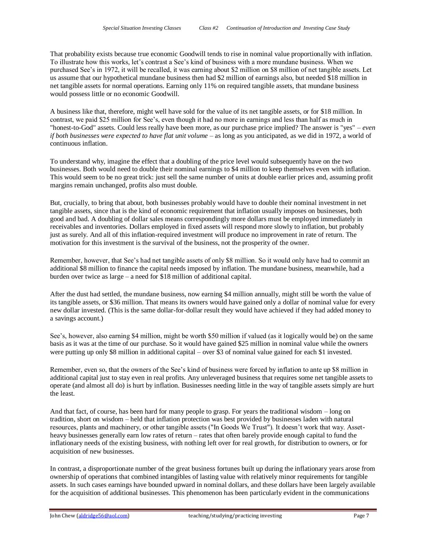That probability exists because true economic Goodwill tends to rise in nominal value proportionally with inflation. To illustrate how this works, let's contrast a See's kind of business with a more mundane business. When we purchased See's in 1972, it will be recalled, it was earning about \$2 million on \$8 million of net tangible assets. Let us assume that our hypothetical mundane business then had \$2 million of earnings also, but needed \$18 million in net tangible assets for normal operations. Earning only 11% on required tangible assets, that mundane business would possess little or no economic Goodwill.

A business like that, therefore, might well have sold for the value of its net tangible assets, or for \$18 million. In contrast, we paid \$25 million for See's, even though it had no more in earnings and less than half as much in "honest-to-God" assets. Could less really have been more, as our purchase price implied? The answer is "yes" – *even if both businesses were expected to have flat unit volume* – as long as you anticipated, as we did in 1972, a world of continuous inflation.

To understand why, imagine the effect that a doubling of the price level would subsequently have on the two businesses. Both would need to double their nominal earnings to \$4 million to keep themselves even with inflation. This would seem to be no great trick: just sell the same number of units at double earlier prices and, assuming profit margins remain unchanged, profits also must double.

But, crucially, to bring that about, both businesses probably would have to double their nominal investment in net tangible assets, since that is the kind of economic requirement that inflation usually imposes on businesses, both good and bad. A doubling of dollar sales means correspondingly more dollars must be employed immediately in receivables and inventories. Dollars employed in fixed assets will respond more slowly to inflation, but probably just as surely. And all of this inflation-required investment will produce no improvement in rate of return. The motivation for this investment is the survival of the business, not the prosperity of the owner.

Remember, however, that See's had net tangible assets of only \$8 million. So it would only have had to commit an additional \$8 million to finance the capital needs imposed by inflation. The mundane business, meanwhile, had a burden over twice as large – a need for \$18 million of additional capital.

After the dust had settled, the mundane business, now earning \$4 million annually, might still be worth the value of its tangible assets, or \$36 million. That means its owners would have gained only a dollar of nominal value for every new dollar invested. (This is the same dollar-for-dollar result they would have achieved if they had added money to a savings account.)

See's, however, also earning \$4 million, might be worth \$50 million if valued (as it logically would be) on the same basis as it was at the time of our purchase. So it would have gained \$25 million in nominal value while the owners were putting up only \$8 million in additional capital – over \$3 of nominal value gained for each \$1 invested.

Remember, even so, that the owners of the See's kind of business were forced by inflation to ante up \$8 million in additional capital just to stay even in real profits. Any unleveraged business that requires some net tangible assets to operate (and almost all do) is hurt by inflation. Businesses needing little in the way of tangible assets simply are hurt the least.

And that fact, of course, has been hard for many people to grasp. For years the traditional wisdom – long on tradition, short on wisdom – held that inflation protection was best provided by businesses laden with natural resources, plants and machinery, or other tangible assets ("In Goods We Trust"). It doesn't work that way. Assetheavy businesses generally earn low rates of return – rates that often barely provide enough capital to fund the inflationary needs of the existing business, with nothing left over for real growth, for distribution to owners, or for acquisition of new businesses.

In contrast, a disproportionate number of the great business fortunes built up during the inflationary years arose from ownership of operations that combined intangibles of lasting value with relatively minor requirements for tangible assets. In such cases earnings have bounded upward in nominal dollars, and these dollars have been largely available for the acquisition of additional businesses. This phenomenon has been particularly evident in the communications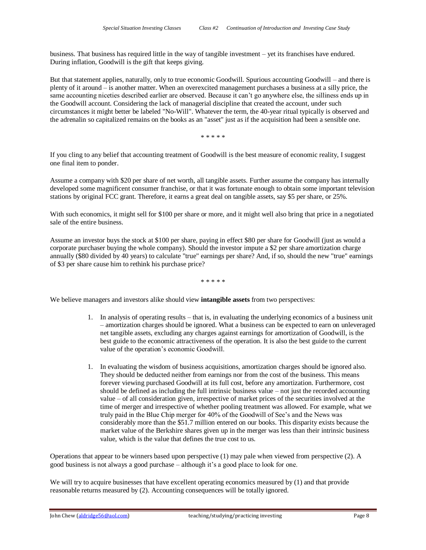business. That business has required little in the way of tangible investment – yet its franchises have endured. During inflation, Goodwill is the gift that keeps giving.

But that statement applies, naturally, only to true economic Goodwill. Spurious accounting Goodwill – and there is plenty of it around – is another matter. When an overexcited management purchases a business at a silly price, the same accounting niceties described earlier are observed. Because it can't go anywhere else, the silliness ends up in the Goodwill account. Considering the lack of managerial discipline that created the account, under such circumstances it might better be labeled "No-Will". Whatever the term, the 40-year ritual typically is observed and the adrenalin so capitalized remains on the books as an "asset" just as if the acquisition had been a sensible one.

\* \* \* \* \*

If you cling to any belief that accounting treatment of Goodwill is the best measure of economic reality, I suggest one final item to ponder.

Assume a company with \$20 per share of net worth, all tangible assets. Further assume the company has internally developed some magnificent consumer franchise, or that it was fortunate enough to obtain some important television stations by original FCC grant. Therefore, it earns a great deal on tangible assets, say \$5 per share, or 25%.

With such economics, it might sell for \$100 per share or more, and it might well also bring that price in a negotiated sale of the entire business.

Assume an investor buys the stock at \$100 per share, paying in effect \$80 per share for Goodwill (just as would a corporate purchaser buying the whole company). Should the investor impute a \$2 per share amortization charge annually (\$80 divided by 40 years) to calculate "true" earnings per share? And, if so, should the new "true" earnings of \$3 per share cause him to rethink his purchase price?

\* \* \* \* \*

We believe managers and investors alike should view **intangible assets** from two perspectives:

- 1. In analysis of operating results that is, in evaluating the underlying economics of a business unit – amortization charges should be ignored. What a business can be expected to earn on unleveraged net tangible assets, excluding any charges against earnings for amortization of Goodwill, is the best guide to the economic attractiveness of the operation. It is also the best guide to the current value of the operation's economic Goodwill.
- 1. In evaluating the wisdom of business acquisitions, amortization charges should be ignored also. They should be deducted neither from earnings nor from the cost of the business. This means forever viewing purchased Goodwill at its full cost, before any amortization. Furthermore, cost should be defined as including the full intrinsic business value – not just the recorded accounting value – of all consideration given, irrespective of market prices of the securities involved at the time of merger and irrespective of whether pooling treatment was allowed. For example, what we truly paid in the Blue Chip merger for 40% of the Goodwill of See's and the News was considerably more than the \$51.7 million entered on our books. This disparity exists because the market value of the Berkshire shares given up in the merger was less than their intrinsic business value, which is the value that defines the true cost to us.

Operations that appear to be winners based upon perspective (1) may pale when viewed from perspective (2). A good business is not always a good purchase – although it's a good place to look for one.

We will try to acquire businesses that have excellent operating economics measured by (1) and that provide reasonable returns measured by (2). Accounting consequences will be totally ignored.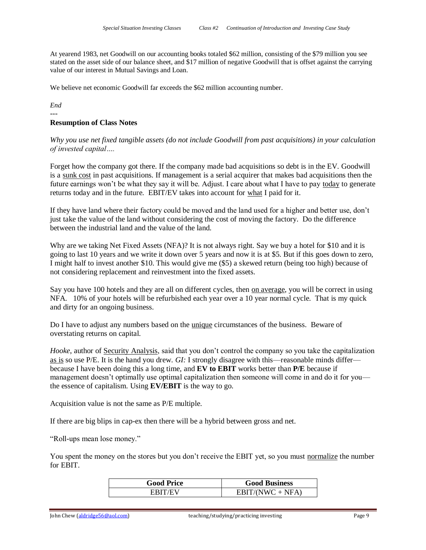At yearend 1983, net Goodwill on our accounting books totaled \$62 million, consisting of the \$79 million you see stated on the asset side of our balance sheet, and \$17 million of negative Goodwill that is offset against the carrying value of our interest in Mutual Savings and Loan.

We believe net economic Goodwill far exceeds the \$62 million accounting number.

*End*

# --- **Resumption of Class Notes**

*Why you use net fixed tangible assets (do not include Goodwill from past acquisitions) in your calculation of invested capital….*

Forget how the company got there. If the company made bad acquisitions so debt is in the EV. Goodwill is a sunk cost in past acquisitions. If management is a serial acquirer that makes bad acquisitions then the future earnings won't be what they say it will be. Adjust. I care about what I have to pay today to generate returns today and in the future. EBIT/EV takes into account for what I paid for it.

If they have land where their factory could be moved and the land used for a higher and better use, don't just take the value of the land without considering the cost of moving the factory. Do the difference between the industrial land and the value of the land.

Why are we taking Net Fixed Assets (NFA)? It is not always right. Say we buy a hotel for \$10 and it is going to last 10 years and we write it down over 5 years and now it is at \$5. But if this goes down to zero, I might half to invest another \$10. This would give me (\$5) a skewed return (being too high) because of not considering replacement and reinvestment into the fixed assets.

Say you have 100 hotels and they are all on different cycles, then on average, you will be correct in using NFA. 10% of your hotels will be refurbished each year over a 10 year normal cycle. That is my quick and dirty for an ongoing business.

Do I have to adjust any numbers based on the unique circumstances of the business. Beware of overstating returns on capital.

*Hooke*, author of <u>Security Analysis</u>, said that you don't control the company so you take the capitalization as is so use P/E. It is the hand you drew*. GI:* I strongly disagree with this—reasonable minds differ because I have been doing this a long time, and **EV to EBIT** works better than **P/E** because if management doesn't optimally use optimal capitalization then someone will come in and do it for you the essence of capitalism. Using **EV/EBIT** is the way to go.

Acquisition value is not the same as P/E multiple.

If there are big blips in cap-ex then there will be a hybrid between gross and net.

"Roll-ups mean lose money."

You spent the money on the stores but you don't receive the EBIT yet, so you must normalize the number for EBIT.

| <b>Good Price</b> | <b>Good Business</b> |
|-------------------|----------------------|
|                   | $EBIT/(NWC + NFA)$   |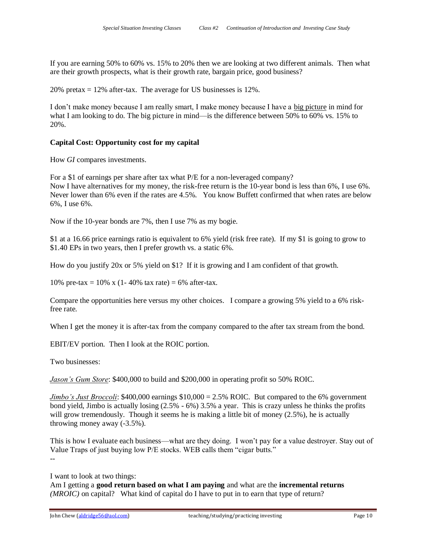If you are earning 50% to 60% vs. 15% to 20% then we are looking at two different animals. Then what are their growth prospects, what is their growth rate, bargain price, good business?

20% pretax  $= 12\%$  after-tax. The average for US businesses is 12%.

I don't make money because I am really smart, I make money because I have a big picture in mind for what I am looking to do. The big picture in mind—is the difference between 50% to 60% vs. 15% to 20%.

# **Capital Cost: Opportunity cost for my capital**

How *GI* compares investments.

For a \$1 of earnings per share after tax what P/E for a non-leveraged company? Now I have alternatives for my money, the risk-free return is the 10-year bond is less than 6%, I use 6%. Never lower than 6% even if the rates are 4.5%. You know Buffett confirmed that when rates are below 6%, I use 6%.

Now if the 10-year bonds are 7%, then I use 7% as my bogie.

\$1 at a 16.66 price earnings ratio is equivalent to 6% yield (risk free rate). If my \$1 is going to grow to \$1.40 EPs in two years, then I prefer growth vs. a static 6%.

How do you justify 20x or 5% yield on \$1? If it is growing and I am confident of that growth.

10% pre-tax = 10% x (1- 40% tax rate) = 6% after-tax.

Compare the opportunities here versus my other choices. I compare a growing 5% yield to a 6% riskfree rate.

When I get the money it is after-tax from the company compared to the after tax stream from the bond.

EBIT/EV portion. Then I look at the ROIC portion.

Two businesses:

*Jason's Gum Store*: \$400,000 to build and \$200,000 in operating profit so 50% ROIC.

*Jimbo's Just Broccoli*: \$400,000 earnings \$10,000 = 2.5% ROIC. But compared to the 6% government bond yield, Jimbo is actually losing (2.5% - 6%) 3.5% a year. This is crazy unless he thinks the profits will grow tremendously. Though it seems he is making a little bit of money (2.5%), he is actually throwing money away (-3.5%).

This is how I evaluate each business—what are they doing. I won't pay for a value destroyer. Stay out of Value Traps of just buying low P/E stocks. WEB calls them "cigar butts." --

I want to look at two things:

Am I getting a **good return based on what I am paying** and what are the **incremental returns** *(MROIC)* on capital? What kind of capital do I have to put in to earn that type of return?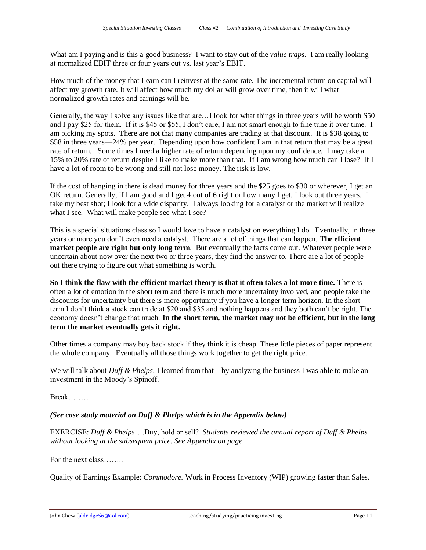What am I paying and is this a good business? I want to stay out of the *value traps*. I am really looking at normalized EBIT three or four years out vs. last year's EBIT.

How much of the money that I earn can I reinvest at the same rate. The incremental return on capital will affect my growth rate. It will affect how much my dollar will grow over time, then it will what normalized growth rates and earnings will be.

Generally, the way I solve any issues like that are…I look for what things in three years will be worth \$50 and I pay \$25 for them. If it is \$45 or \$55, I don't care; I am not smart enough to fine tune it over time. I am picking my spots. There are not that many companies are trading at that discount. It is \$38 going to \$58 in three years—24% per year. Depending upon how confident I am in that return that may be a great rate of return. Some times I need a higher rate of return depending upon my confidence. I may take a 15% to 20% rate of return despite I like to make more than that. If I am wrong how much can I lose? If I have a lot of room to be wrong and still not lose money. The risk is low.

If the cost of hanging in there is dead money for three years and the \$25 goes to \$30 or wherever, I get an OK return. Generally, if I am good and I get 4 out of 6 right or how many I get. I look out three years. I take my best shot; I look for a wide disparity. I always looking for a catalyst or the market will realize what I see. What will make people see what I see?

This is a special situations class so I would love to have a catalyst on everything I do. Eventually, in three years or more you don't even need a catalyst. There are a lot of things that can happen. **The efficient market people are right but only long term**. But eventually the facts come out. Whatever people were uncertain about now over the next two or three years, they find the answer to. There are a lot of people out there trying to figure out what something is worth.

**So I think the flaw with the efficient market theory is that it often takes a lot more time.** There is often a lot of emotion in the short term and there is much more uncertainty involved, and people take the discounts for uncertainty but there is more opportunity if you have a longer term horizon. In the short term I don't think a stock can trade at \$20 and \$35 and nothing happens and they both can't be right. The economy doesn't change that much. **In the short term, the market may not be efficient, but in the long term the market eventually gets it right.**

Other times a company may buy back stock if they think it is cheap. These little pieces of paper represent the whole company. Eventually all those things work together to get the right price.

We will talk about *Duff & Phelps*. I learned from that—by analyzing the business I was able to make an investment in the Moody's Spinoff.

Break………

*(See case study material on Duff & Phelps which is in the Appendix below)*

EXERCISE: *Duff & Phelps*….Buy, hold or sell? *Students reviewed the annual report of Duff & Phelps without looking at the subsequent price. See Appendix on page*

For the next class……..

Quality of Earnings Example: *Commodore.* Work in Process Inventory (WIP) growing faster than Sales.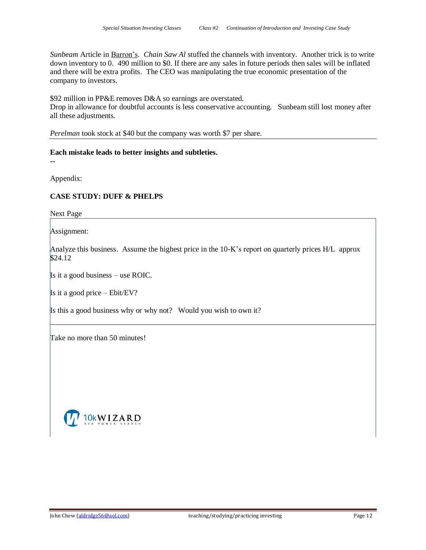*Sunbeam* Article in Barron's. *Chain Saw Al* stuffed the channels with inventory. Another trick is to write down inventory to 0. 490 million to \$0. If there are any sales in future periods then sales will be inflated and there will be extra profits. The CEO was manipulating the true economic presentation of the company to investors.

\$92 million in PP&E removes D&A so earnings are overstated.

Drop in allowance for doubtful accounts is less conservative accounting. Sunbeam still lost money after all these adjustments.

*Perelman* took stock at \$40 but the company was worth \$7 per share.

**Each mistake leads to better insights and subtleties.** 

**--**

Appendix:

# **CASE STUDY: DUFF & PHELPS**

Next Page

Assignment:

Analyze this business. Assume the highest price in the 10-K's report on quarterly prices H/L approx \$24.12

Is it a good business – use ROIC.

Is it a good price – Ebit/EV?

Is this a good business why or why not? Would you wish to own it?

Take no more than 50 minutes!

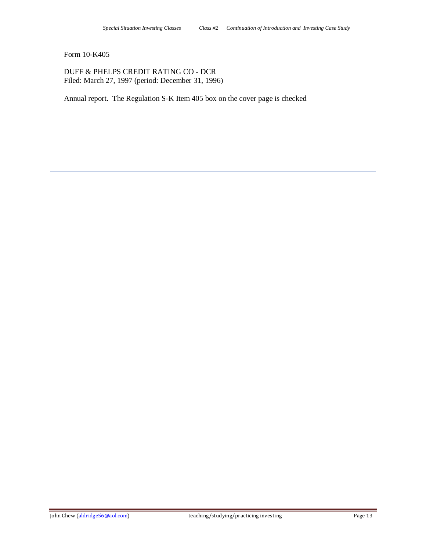# Form 10-K405

DUFF & PHELPS CREDIT RATING CO - DCR Filed: March 27, 1997 (period: December 31, 1996)

Annual report. The Regulation S-K Item 405 box on the cover page is checked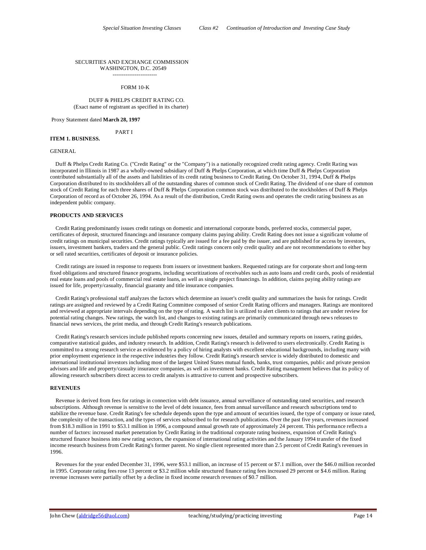#### SECURITIES AND EXCHANGE COMMISSION WASHINGTON, D.C. 20549

------------------------

#### FORM 10-K

#### DUFF & PHELPS CREDIT RATING CO. (Exact name of registrant as specified in its charter)

Proxy Statement dated **March 28, 1997**

### PART I

# **ITEM 1. BUSINESS.**

#### GENERAL

 Duff & Phelps Credit Rating Co. ("Credit Rating" or the "Company") is a nationally recognized credit rating agency. Credit Rating was incorporated in Illinois in 1987 as a wholly-owned subsidiary of Duff & Phelps Corporation, at which time Duff & Phelps Corporation contributed substantially all of the assets and liabilities of its credit rating business to Credit Rating. On October 31, 1994, Duff & Phelps Corporation distributed to its stockholders all of the outstanding shares of common stock of Credit Rating. The dividend of one share of common stock of Credit Rating for each three shares of Duff & Phelps Corporation common stock was distributed to the stockholders of Duff & Phelps Corporation of record as of October 26, 1994. As a result of the distribution, Credit Rating owns and operates the credit rating business as an independent public company.

#### **PRODUCTS AND SERVICES**

 Credit Rating predominantly issues credit ratings on domestic and international corporate bonds, preferred stocks, commercial paper, certificates of deposit, structured financings and insurance company claims paying ability. Credit Rating does not issue a significant volume of credit ratings on municipal securities. Credit ratings typically are issued for a fee paid by the issuer, and are published for access by investors, issuers, investment bankers, traders and the general public. Credit ratings concern only credit quality and are not recommendations to either buy or sell rated securities, certificates of deposit or insurance policies.

 Credit ratings are issued in response to requests from issuers or investment bankers. Requested ratings are for corporate short and long-term fixed obligations and structured finance programs, including securitizations of receivables such as auto loans and credit cards, pools of residential real estate loans and pools of commercial real estate loans, as well as single project financings. In addition, claims paying ability ratings are issued for life, property/casualty, financial guaranty and title insurance companies.

 Credit Rating's professional staff analyzes the factors which determine an issuer's credit quality and summarizes the basis for ratings. Credit ratings are assigned and reviewed by a Credit Rating Committee composed of senior Credit Rating officers and managers. Ratings are monitored and reviewed at appropriate intervals depending on the type of rating. A watch list is utilized to alert clients to ratings that are under review for potential rating changes. New ratings, the watch list, and changes to existing ratings are primarily communicated through news releases to financial news services, the print media, and through Credit Rating's research publications.

 Credit Rating's research services include published reports concerning new issues, detailed and summary reports on issuers, rating guides, comparative statistical guides, and industry research. In addition, Credit Rating's research is delivered to users electronically. Credit Rating is committed to a strong research service as evidenced by a policy of hiring analysts with excellent educational backgrounds, including many with prior employment experience in the respective industries they follow. Credit Rating's research service is widely distributed to domestic and international institutional investors including most of the largest United States mutual funds, banks, trust companies, public and private pension advisors and life and property/casualty insurance companies, as well as investment banks. Credit Rating management believes that its policy of allowing research subscribers direct access to credit analysts is attractive to current and prospective subscribers.

#### **REVENUES**

 Revenue is derived from fees for ratings in connection with debt issuance, annual surveillance of outstanding rated securities, and research subscriptions. Although revenue is sensitive to the level of debt issuance, fees from annual surveillance and research subscriptions tend to stabilize the revenue base. Credit Rating's fee schedule depends upon the type and amount of securities issued, the type of company or issue rated, the complexity of the transaction, and the types of services subscribed to for research publications. Over the past five years, revenues increased from \$18.3 million in 1991 to \$53.1 million in 1996, a compound annual growth rate of approximately 24 percent. This performance reflects a number of factors: increased market penetration by Credit Rating in the traditional corporate rating business, expansion of Credit Rating's structured finance business into new rating sectors, the expansion of international rating activities and the January 1994 transfer of the fixed income research business from Credit Rating's former parent. No single client represented more than 2.5 percent of Credit Rating's revenues in 1996.

 Revenues for the year ended December 31, 1996, were \$53.1 million, an increase of 15 percent or \$7.1 million, over the \$46.0 million recorded in 1995. Corporate rating fees rose 13 percent or \$3.2 million while structured finance rating fees increased 29 percent or \$4.6 million. Rating revenue increases were partially offset by a decline in fixed income research revenues of \$0.7 million.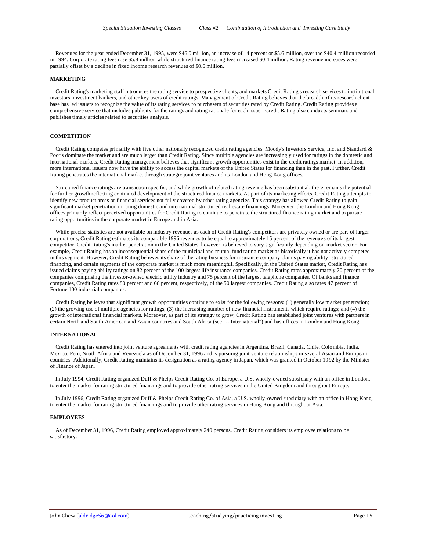Revenues for the year ended December 31, 1995, were \$46.0 million, an increase of 14 percent or \$5.6 million, over the \$40.4 million recorded in 1994. Corporate rating fees rose \$5.8 million while structured finance rating fees increased \$0.4 million. Rating revenue increases were partially offset by a decline in fixed income research revenues of \$0.6 million.

#### **MARKETING**

 Credit Rating's marketing staff introduces the rating service to prospective clients, and markets Credit Rating's research services to institutional investors, investment bankers, and other key users of credit ratings. Management of Credit Rating believes that the breadth of its research client base has led issuers to recognize the value of its rating services to purchasers of securities rated by Credit Rating. Credit Rating provides a comprehensive service that includes publicity for the ratings and rating rationale for each issuer. Credit Rating also conducts seminars and publishes timely articles related to securities analysis.

# **COMPETITION**

 Credit Rating competes primarily with five other nationally recognized credit rating agencies. Moody's Investors Service, Inc. and Standard & Poor's dominate the market and are much larger than Credit Rating. Since multiple agencies are increasingly used for ratings in the domestic and international markets, Credit Rating management believes that significant growth opportunities exist in the credit ratings market. In addition, more international issuers now have the ability to access the capital markets of the United States for financing than in the past. Further, Credit Rating penetrates the international market through strategic joint ventures and its London and Hong Kong offices.

 Structured finance ratings are transaction specific, and while growth of related rating revenue has been substantial, there remains the potential for further growth reflecting continued development of the structured finance markets. As part of its marketing efforts, Credit Rating attempts to identify new product areas or financial services not fully covered by other rating agencies. This strategy has allowed Credit Rating to gain significant market penetration in rating domestic and international structured real estate financings. Moreover, the London and Hong Kong offices primarily reflect perceived opportunities for Credit Rating to continue to penetrate the structured finance rating market and to pursue rating opportunities in the corporate market in Europe and in Asia.

 While precise statistics are not available on industry revenues as each of Credit Rating's competitors are privately owned or are part of larger corporations, Credit Rating estimates its comparable 1996 revenues to be equal to approximately 15 percent of the revenues of its largest competitor. Credit Rating's market penetration in the United States, however, is believed to vary significantly depending on market sector. For example, Credit Rating has an inconsequential share of the municipal and mutual fund rating market as historically it has not actively competed in this segment. However, Credit Rating believes its share of the rating business for insurance company claims paying ability, structured financing, and certain segments of the corporate market is much more meaningful. Specifically, in the United States market, Credit Rating has issued claims paying ability ratings on 82 percent of the 100 largest life insurance companies. Credit Rating rates approxima tely 70 percent of the companies comprising the investor-owned electric utility industry and 75 percent of the largest telephone companies. Of banks and finance companies, Credit Rating rates 80 percent and 66 percent, respectively, of the 50 largest companies. Credit Rating also rates 47 percent of Fortune 100 industrial companies.

 Credit Rating believes that significant growth opportunities continue to exist for the following reasons: (1) generally low market penetration; (2) the growing use of multiple agencies for ratings; (3) the increasing number of new financial instruments which require ratings; and (4) the growth of international financial markets. Moreover, as part of its strategy to grow, Credit Rating has established joint ventures with partners in certain North and South American and Asian countries and South Africa (see "-- International") and has offices in London and Hong Kong.

# **INTERNATIONAL**

 Credit Rating has entered into joint venture agreements with credit rating agencies in Argentina, Brazil, Canada, Chile, Colombia, India, Mexico, Peru, South Africa and Venezuela as of December 31, 1996 and is pursuing joint venture relationships in several Asian and European countries. Additionally, Credit Rating maintains its designation as a rating agency in Japan, which was granted in October 1992 by the Minister of Finance of Japan.

 In July 1994, Credit Rating organized Duff & Phelps Credit Rating Co. of Europe, a U.S. wholly-owned subsidiary with an office in London, to enter the market for rating structured financings and to provide other rating services in the United Kingdom and throughout Europe.

 In July 1996, Credit Rating organized Duff & Phelps Credit Rating Co. of Asia, a U.S. wholly-owned subsidiary with an office in Hong Kong, to enter the market for rating structured financings and to provide other rating services in Hong Kong and throughout Asia.

#### **EMPLOYEES**

 As of December 31, 1996, Credit Rating employed approximately 240 persons. Credit Rating considers its employee relations to be satisfactory.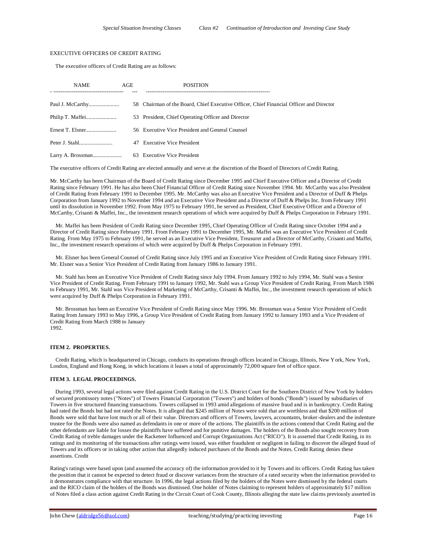### EXECUTIVE OFFICERS OF CREDIT RATING

The executive officers of Credit Rating are as follows:

| <b>NAME</b> | AGE | <b>POSITION</b>                                                                         |
|-------------|-----|-----------------------------------------------------------------------------------------|
|             |     | 58 Chairman of the Board, Chief Executive Officer, Chief Financial Officer and Director |
|             |     | 53 President, Chief Operating Officer and Director                                      |
|             |     | 56 Executive Vice President and General Counsel                                         |
|             |     | 47 Executive Vice President                                                             |
|             |     | 63 Executive Vice President                                                             |

The executive officers of Credit Rating are elected annually and serve at the discretion of the Board of Directors of Credit Rating.

Mr. McCarthy has been Chairman of the Board of Credit Rating since December 1995 and Chief Executive Officer and a Director of Credit Rating since February 1991. He has also been Chief Financial Officer of Credit Rating since November 1994. Mr. McCarthy was also President of Credit Rating from February 1991 to December 1995. Mr. McCarthy was also an Executive Vice President and a Director of Duff & Phelps Corporation from January 1992 to November 1994 and an Executive Vice President and a Director of Duff & Phelps Inc. from February 1991 until its dissolution in November 1992. From May 1975 to February 1991, he served as President, Chief Executive Officer and a Director of McCarthy, Crisanti & Maffei, Inc., the investment research operations of which were acquired by Duff & Phelps Corporation in February 1991.

 Mr. Maffei has been President of Credit Rating since December 1995, Chief Operating Officer of Credit Rating since October 1994 and a Director of Credit Rating since February 1991. From February 1991 to December 1995, Mr. Maffei was an Executive Vice President of Credit Rating. From May 1975 to February 1991, he served as an Executive Vice President, Treasurer and a Director of McCarthy, Crisanti and Maffei, Inc., the investment research operations of which were acquired by Duff & Phelps Corporation in February 1991.

 Mr. Elsner has been General Counsel of Credit Rating since July 1995 and an Executive Vice President of Credit Rating since February 1991. Mr. Elsner was a Senior Vice President of Credit Rating from January 1986 to January 1991.

 Mr. Stahl has been an Executive Vice President of Credit Rating since July 1994. From January 1992 to July 1994, Mr. Stahl was a Senior Vice President of Credit Rating. From February 1991 to January 1992, Mr. Stahl was a Group Vice President of Credit Rating. From March 1986 to February 1991, Mr. Stahl was Vice President of Marketing of McCarthy, Crisanti & Maffei, Inc., the investment research operations of which were acquired by Duff & Phelps Corporation in February 1991.

 Mr. Brossman has been an Executive Vice President of Credit Rating since May 1996. Mr. Brossman was a Senior Vice President of Credit Rating from January 1993 to May 1996, a Group Vice President of Credit Rating from January 1992 to January 1993 and a Vice President of Credit Rating from March 1988 to January 1992.

# **ITEM 2. PROPERTIES.**

 Credit Rating, which is headquartered in Chicago, conducts its operations through offices located in Chicago, Illinois, New York, New York, London, England and Hong Kong, in which locations it leases a total of approximately 72,000 square feet of office space.

### **ITEM 3. LEGAL PROCEEDINGS.**

 During 1993, several legal actions were filed against Credit Rating in the U.S. District Court for the Southern District of New York by holders of secured promissory notes ("Notes") of Towers Financial Corporation ("Towers") and holders of bonds ("Bonds") issued by subsidiaries of Towers in five structured financing transactions. Towers collapsed in 1993 amid allegations of massive fraud and is in bankruptcy. Credit Rating had rated the Bonds but had not rated the Notes. It is alleged that \$245 million of Notes were sold that are worthless and that \$200 million of Bonds were sold that have lost much or all of their value. Directors and officers of Towers, lawyers, accountants, broker-dealers and the indenture trustee for the Bonds were also named as defendants in one or more of the actions. The plaintiffs in the actions contend that Credit Rating and the other defendants are liable for losses the plaintiffs have suffered and for punitive damages. The holders of the Bonds also sought recovery from Credit Rating of treble damages under the Racketeer Influenced and Corrupt Organizations Act ("RICO"). It is asserted that Credit Rating, in its ratings and its monitoring of the transactions after ratings were issued, was either fraudulent or negligent in failing to discover the alleged fraud of Towers and its officers or in taking other action that allegedly induced purchases of the Bonds and the Notes. Credit Rating denies these assertions. Credit

Rating's ratings were based upon (and assumed the accuracy of) the information provided to it by Towers and its officers. Credit Rating has taken the position that it cannot be expected to detect fraud or discover variances from the structure of a rated security when the information provided to it demonstrates compliance with that structure. In 1996, the legal actions filed by the holders of the Notes were dismissed by the federal courts and the RICO claim of the holders of the Bonds was dismissed. One holder of Notes claiming to represent holders of approximately \$17 million of Notes filed a class action against Credit Rating in the Circuit Court of Cook County, Illinois alleging the state law claims previously asserted in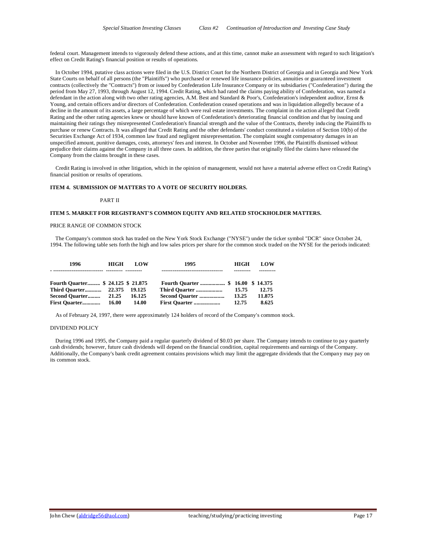federal court. Management intends to vigorously defend these actions, and at this time, cannot make an assessment with regard to such litigation's effect on Credit Rating's financial position or results of operations.

 In October 1994, putative class actions were filed in the U.S. District Court for the Northern District of Georgia and in Georgia and New York State Courts on behalf of all persons (the "Plaintiffs") who purchased or renewed life insurance policies, annuities or guaranteed investment contracts (collectively the "Contracts") from or issued by Confederation Life Insurance Company or its subsidiaries ("Confederation") during the period from May 27, 1993, through August 12, 1994. Credit Rating, which had rated the claims paying ability of Confederation, was named a defendant in the action along with two other rating agencies, A.M. Best and Standard & Poor's, Confederation's independent auditor, Ernst & Young, and certain officers and/or directors of Confederation. Confederation ceased operations and was in liquidation allegedly because of a decline in the amount of its assets, a large percentage of which were real estate investments. The complaint in the action alleged that Credit Rating and the other rating agencies knew or should have known of Confederation's deteriorating financial condition and that by issuing and maintaining their ratings they misrepresented Confederation's financial strength and the value of the Contracts, thereby inducing the Plaintiffs to purchase or renew Contracts. It was alleged that Credit Rating and the other defendants' conduct constituted a violation of Section 10(b) of the Securities Exchange Act of 1934, common law fraud and negligent misrepresentation. The complaint sought compensatory damages in an unspecified amount, punitive damages, costs, attorneys' fees and interest. In October and November 1996, the Plaintiffs dismissed without prejudice their claims against the Company in all three cases. In addition, the three parties that originally filed the claims have released the Company from the claims brought in these cases.

 Credit Rating is involved in other litigation, which in the opinion of management, would not have a material adverse effect on Credit Rating's financial position or results of operations.

# **ITEM 4. SUBMISSION OF MATTERS TO A VOTE OF SECURITY HOLDERS.**

#### PART II

# **ITEM 5. MARKET FOR REGISTRANT'S COMMON EQUITY AND RELATED STOCKHOLDER MATTERS.**

# PRICE RANGE OF COMMON STOCK

 The Company's common stock has traded on the New York Stock Exchange ("NYSE") under the ticker symbol "DCR" since October 24, 1994. The following table sets forth the high and low sales prices per share for the common stock traded on the NYSE for the periods indicated:

| 1996                               | <b>HIGH</b> | LOW    | 1995           | HIGH  | LOW    |
|------------------------------------|-------------|--------|----------------|-------|--------|
|                                    |             |        |                |       |        |
| Fourth Quarter \$ 24.125 \$ 21.875 |             |        |                |       |        |
|                                    |             | 19.125 | Third Quarter  | 15.75 | 12.75  |
| Second Quarter                     | 21.25       | 16.125 | Second Quarter | 13.25 | 11.875 |
| First Ouarter                      | 16.00       | 14.00  | First Quarter  | 12.75 | 8.625  |

As of February 24, 1997, there were approximately 124 holders of record of the Company's common stock.

### DIVIDEND POLICY

 During 1996 and 1995, the Company paid a regular quarterly dividend of \$0.03 per share. The Company intends to continue to pa y quarterly cash dividends; however, future cash dividends will depend on the financial condition, capital requirements and earnings of the Company. Additionally, the Company's bank credit agreement contains provisions which may limit the aggregate dividends that the Company may pay on its common stock.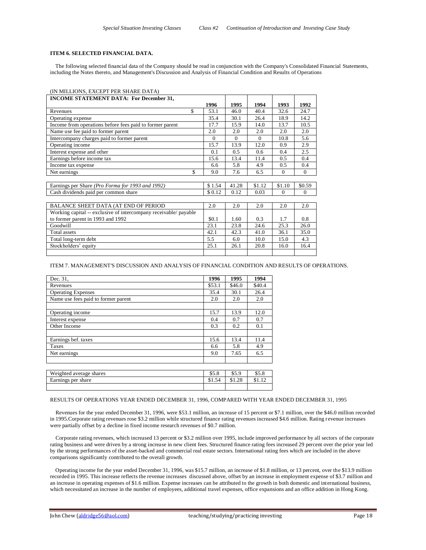# **ITEM 6. SELECTED FINANCIAL DATA.**

 The following selected financial data of the Company should be read in conjunction with the Company's Consolidated Financial Statements, including the Notes thereto, and Management's Discussion and Analysis of Financial Condition and Results of Operations

# (IN MILLIONS, EXCEPT PER SHARE DATA)

| <b>INCOME STATEMENT DATA: For December 31,</b>                   |          |          |          |          |                |
|------------------------------------------------------------------|----------|----------|----------|----------|----------------|
|                                                                  | 1996     | 1995     | 1994     | 1993     | 1992           |
| \$<br>Revenues                                                   | 53.1     | 46.0     | 40.4     | 32.6     | 24.7           |
| Operating expense                                                | 35.4     | 30.1     | 26.4     | 18.9     | 14.2           |
| Income from operations before fees paid to former parent         | 17.7     | 15.9     | 14.0     | 13.7     | 10.5           |
| Name use fee paid to former parent                               | 2.0      | 2.0      | 2.0      | 2.0      | 2.0            |
| Intercompany charges paid to former parent                       | $\Omega$ | $\Omega$ | $\Omega$ | 10.8     | 5.6            |
| Operating income                                                 | 15.7     | 13.9     | 12.0     | 0.9      | 2.9            |
| Interest expense and other                                       | 0.1      | 0.5      | 0.6      | 0.4      | 2.5            |
| Earnings before income tax                                       | 15.6     | 13.4     | 11.4     | 0.5      | 0.4            |
| Income tax expense                                               | 6.6      | 5.8      | 4.9      | 0.5      | 0.4            |
| \$<br>Net earnings                                               | 9.0      | 7.6      | 6.5      | $\Omega$ | $\Omega$       |
|                                                                  |          |          |          |          |                |
| Earnings per Share ( <i>Pro Forma for 1993 and 1992</i> )        | \$1.54   | 41.28    | \$1.12   | \$1.10   | \$0.59         |
| Cash dividends paid per common share                             | \$0.12   | 0.12     | 0.03     | $\Omega$ | $\overline{0}$ |
|                                                                  |          |          |          |          |                |
| BALANCE SHEET DATA (AT END OF PERIOD                             | 2.0      | 2.0      | 2.0      | 2.0      | 2.0            |
| Working capital -- exclusive of intercompany receivable/ payable |          |          |          |          |                |
| to former parent in 1993 and 1992                                | \$0.1    | 1.60     | 0.3      | 1.7      | 0.8            |
| Goodwill                                                         | 23.1     | 23.8     | 24.6     | 25.3     | 26.0           |
| Total assets                                                     | 42.1     | 42.3     | 41.0     | 36.1     | 35.0           |
| Total long-term debt                                             | 5.5      | 6.0      | 10.0     | 15.0     | 4.3            |
| Stockholders' equity                                             | 25.1     | 26.1     | 20.8     | 16.0     | 16.4           |
|                                                                  |          |          |          |          |                |

### ITEM 7. MANAGEMENT'S DISCUSSION AND ANALYSIS OF FINANCIAL CONDITION AND RESULTS OF OPERATIONS.

| Dec. 31,                            | 1996   | 1995   | 1994   |
|-------------------------------------|--------|--------|--------|
| Revenues                            | \$53.1 | \$46.0 | \$40.4 |
| <b>Operating Expenses</b>           | 35.4   | 30.1   | 26.4   |
| Name use fees paid to former parent | 2.0    | 2.0    | 2.0    |
|                                     |        |        |        |
| Operating income                    | 15.7   | 13.9   | 12.0   |
| Interest expense                    | 0.4    | 0.7    | 0.7    |
| Other Income                        | 0.3    | 0.2    | 0.1    |
|                                     |        |        |        |
| Earnings bef. taxes                 | 15.6   | 13.4   | 11.4   |
| Taxes                               | 6.6    | 5.8    | 4.9    |
| Net earnings                        | 9.0    | 7.65   | 6.5    |
|                                     |        |        |        |
|                                     |        |        |        |
| Weighted average shares             | \$5.8  | \$5.9  | \$5.8  |
| Earnings per share                  | \$1.54 | \$1.28 | \$1.12 |
|                                     |        |        |        |

#### RESULTS OF OPERATIONS YEAR ENDED DECEMBER 31, 1996, COMPARED WITH YEAR ENDED DECEMBER 31, 1995

 Revenues for the year ended December 31, 1996, were \$53.1 million, an increase of 15 percent or \$7.1 million, over the \$46.0 million recorded in 1995.Corporate rating revenues rose \$3.2 million while structured finance rating revenues increased \$4.6 million. Rating revenue increases were partially offset by a decline in fixed income research revenues of \$0.7 million.

 Corporate rating revenues, which increased 13 percent or \$3.2 million over 1995, include improved performance by all sectors of the corporate rating business and were driven by a strong increase in new client fees. Structured finance rating fees increased 29 percent over the prior year led by the strong performances of the asset-backed and commercial real estate sectors. International rating fees which are included in the above comparisons significantly contributed to the overall growth.

 Operating income for the year ended December 31, 1996, was \$15.7 million, an increase of \$1.8 million, or 13 percent, over the \$13.9 million recorded in 1995. This increase reflects the revenue increases discussed above, offset by an increase in employment expense of \$3.7 million and an increase in operating expenses of \$1.6 million. Expense increases can be attributed to the growth in both domestic and international business, which necessitated an increase in the number of employees, additional travel expenses, office expansions and an office addition in Hong Kong.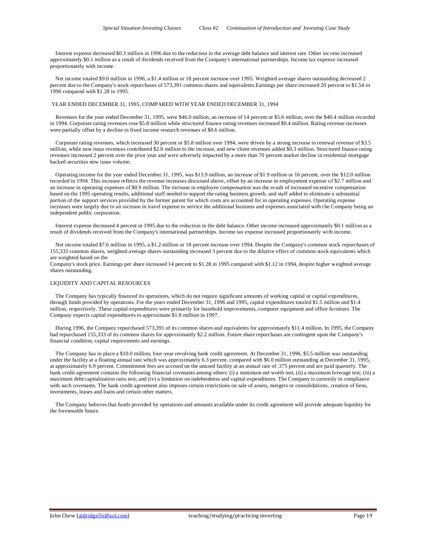Interest expense decreased \$0.3 million in 1996 due to the reduction in the average debt balance and interest rate. Other income increased approximately \$0.1 million as a result of dividends received from the Company's international partnerships. Income tax expense increased proportionately with income.

 Net income totaled \$9.0 million in 1996, a \$1.4 million or 18 percent increase over 1995. Weighted average shares outstanding decreased 2 percent due to the Company's stock repurchases of 573,391 common shares and equivalents.Earnings per share increased 20 percent to \$1.54 in 1996 compared with \$1.28 in 1995.

#### YEAR ENDED DECEMBER 31, 1995, COMPARED WITH YEAR ENDED DECEMBER 31, 1994

 Revenues for the year ended December 31, 1995, were \$46.0 million, an increase of 14 percent or \$5.6 million, over the \$40.4 million recorded in 1994. Corporate rating revenues rose \$5.8 million while structured finance rating revenues increased \$0.4 million. Rating revenue increases were partially offset by a decline in fixed income research revenues of \$0.6 million.

 Corporate rating revenues, which increased 30 percent or \$5.8 million over 1994, were driven by a strong increase in renewal revenue of \$3.5 million, while new issue revenues contributed \$2.0 million to the increase, and new client revenues added \$0.3 million. Structured finance rating revenues increased 2 percent over the prior year and were adversely impacted by a more than 70 percent market decline in residential mortgage backed securities new issue volume.

 Operating income for the year ended December 31, 1995, was \$13.9 million, an increase of \$1.9 million or 16 percent, over the \$12.0 million recorded in 1994. This increase reflects the revenue increases discussed above, offset by an increase in employment expense of \$2.7 million and an increase in operating expenses of \$0.9 million. The increase in employee compensation was the result of increased incentive compensation based on the 1995 operating results, additional staff needed to support the rating business growth, and staff added to eliminate a substantial portion of the support services provided by the former parent for which costs are accounted for in operating expenses. Operating expense increases were largely due to an increase in travel expense to service the additional business and expenses associated with the Company being an independent public corporation.

 Interest expense decreased 4 percent in 1995 due to the reduction in the debt balance. Other income increased approximately \$0.1 million as a result of dividends received from the Company's international partnerships. Income tax expense increased proportionately with income.

 Net income totaled \$7.6 million in 1995, a \$1.2 million or 18 percent increase over 1994. Despite the Company's common stock repurchases of 155,333 common shares, weighted average shares outstanding increased 3 percent due to the dilutive effect of common stock equivalents which are weighted based on the

Company's stock price. Earnings per share increased 14 percent to \$1.28 in 1995 compared with \$1.12 in 1994, despite higher weighted average shares outstanding.

# LIQUIDITY AND CAPITAL RESOURCES

 The Company has typically financed its operations, which do not require significant amounts of working capital or capital expenditures, through funds provided by operations. For the years ended December 31, 1996 and 1995, capital expenditures totaled \$1.5 million and \$1.4 million, respectively. These capital expenditures were primarily for leasehold improvements, computer equipment and office furniture. The Company expects capital expenditures to approximate \$1.8 million in 1997.

 During 1996, the Company repurchased 573,391 of its common shares and equivalents for approximately \$11.4 million. In 1995, the Company had repurchased 155,333 of its common shares for approximately \$2.2 million. Future share repurchases are contingent upon the Company's financial condition, capital requirements and earnings.

 The Company has in place a \$10.0 million, four-year revolving bank credit agreement. At December 31, 1996, \$5.5 million was outstanding under the facility at a floating annual rate which was approximately 6.3 percent, compared with \$6.0 million outstanding at December 31, 1995, at approximately 6.9 percent. Commitment fees are accrued on the unused facility at an annual rate of .375 percent and are paid quarterly. The bank credit agreement contains the following financial covenants among others: (i) a minimum net worth test; (ii) a maximum leverage test; (iii) a maximum debt/capitalization ratio test; and (iv) a limitation on indebtedness and capital expenditures. The Company is currently in compliance with such covenants. The bank credit agreement also imposes certain restrictions on sale of assets, mergers or consolidations, creation of liens, investments, leases and loans and certain other matters.

 The Company believes that funds provided by operations and amounts available under its credit agreement will provide adequate liquidity for the foreseeable future.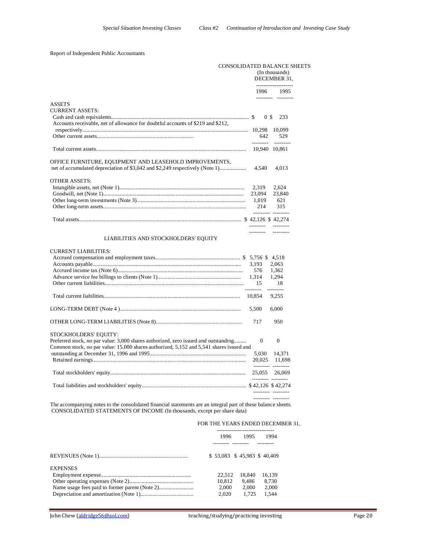# Report of Independent Public Accountants

|                                                                                                                                         |                                 | <b>CONSOLIDATED BALANCE SHEETS</b><br>(In thousands)<br>DECEMBER 31. |
|-----------------------------------------------------------------------------------------------------------------------------------------|---------------------------------|----------------------------------------------------------------------|
|                                                                                                                                         |                                 | 1996 1995                                                            |
| <b>ASSETS</b><br><b>CURRENT ASSETS:</b>                                                                                                 | 0 <sup>s</sup>                  | --------- ---------<br>233                                           |
| Accounts receivable, net of allowance for doubtful accounts of \$219 and \$212,                                                         | 642                             | 529                                                                  |
|                                                                                                                                         | ---------                       | ----------<br>10.940 10.861                                          |
| OFFICE FURNITURE, EQUIPMENT AND LEASEHOLD IMPROVEMENTS,<br>net of accumulated depreciation of \$3,042 and \$2,249 respectively (Note 1) | 4,540                           | 4,013                                                                |
| <b>OTHER ASSETS:</b>                                                                                                                    | 2,319<br>23,094<br>1,019<br>214 | 2,624<br>23,840<br>621<br>315<br>--------- ---------                 |
|                                                                                                                                         |                                 |                                                                      |
| LIABILITIES AND STOCKHOLDERS' EQUITY                                                                                                    | ---------                       | ----------                                                           |
| <b>CURRENT LIABILITIES:</b>                                                                                                             | 3,193<br>576<br>1,314<br>15     | 2,063<br>1,362<br>1,294<br>18<br>.                                   |
|                                                                                                                                         | ----------<br>10,854            | 9,255                                                                |
|                                                                                                                                         | 5,500                           | 6,000                                                                |

OTHER LONG-TERM LIABILITIES (Note 8).............................................................. 717 950 STOCKHOLDERS' EQUITY: Preferred stock, no par value: 3,000 shares authorized, zero issued and outstanding......... 0 0 0 Common stock, no par value: 15,000 shares authorized, 5,152 and 5,541 shares issued and outstanding at December 31, 1996 and 1995..................................................................... 5,030 14,371 Retained earnings.............................................................................................................. 20,025 11,698 --------- --------- Total stockholders' equity................................................................................................. 25,055 26,069 --------- --------- Total liabilities and stockholders' equity........................................................................... \$ 42,126 \$ 42,274 --------- --------- --------- ---------

The accompanying notes to the consolidated financial statements are an integral part of these balance sheets. CONSOLIDATED STATEMENTS OF INCOME (In thousands, except per share data)

#### FOR THE YEARS ENDED DECEMBER 31,

|                 | 1996                           | 1995   | 1994   |
|-----------------|--------------------------------|--------|--------|
|                 |                                |        |        |
|                 | $$53.083$$ \$ 45.983 \$ 40.409 |        |        |
| <b>EXPENSES</b> |                                |        |        |
|                 | 22.512                         | 18.840 | 16.139 |
|                 | 10.812                         | 9.486  | 8.730  |
|                 | 2.000                          | 2.000  | 2.000  |
|                 | 2.020                          | 1.725  | 1.544  |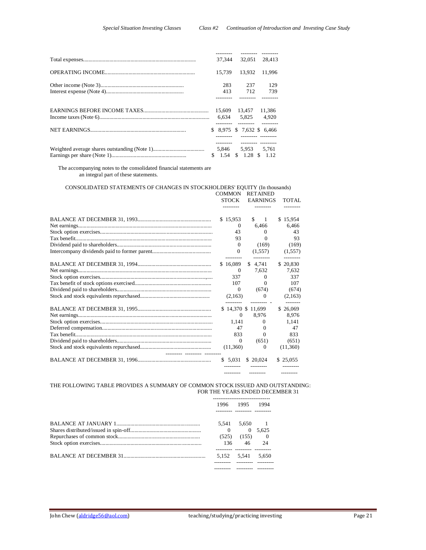| 32.051<br>37.344<br>28.413                 |  |
|--------------------------------------------|--|
|                                            |  |
| 15.739<br>13.932<br>11.996                 |  |
| 283<br>237<br>129                          |  |
| 413<br>712<br>739                          |  |
|                                            |  |
| 11,386<br>15,609 13,457                    |  |
| 6,634 5,825 4,920<br>---- -------- ------- |  |
| $$8.975 \text{ } $7.632 \text{ } $6.466$   |  |
| 5,846 5,953 5,761                          |  |
| \$ 1.54 \$ 1.28 \$ 1.12                    |  |

 The accompanying notes to the consolidated financial statements are an integral part of these statements.

# CONSOLIDATED STATEMENTS OF CHANGES IN STOCKHOLDERS' EQUITY (In thousands)

|  | <b>COMMON</b>     |                     | <b>RETAINED</b> |          |
|--|-------------------|---------------------|-----------------|----------|
|  | <b>STOCK</b>      |                     | <b>EARNINGS</b> | TOTAL    |
|  |                   |                     |                 |          |
|  | \$15,953          | \$.                 | -1              | \$15.954 |
|  | $\Omega$          | 6.466               |                 | 6,466    |
|  | 43                |                     | $\Omega$        | 43       |
|  | 93                |                     | $\Omega$        | 93       |
|  | $\Omega$          |                     | (169)           | (169)    |
|  | $\Omega$          |                     |                 |          |
|  |                   | (1,557)             |                 | (1,557)  |
|  | \$16,089          |                     | \$4.741         | \$20,830 |
|  | $\Omega$          | 7,632               |                 | 7,632    |
|  | 337               |                     | $\Omega$        | 337      |
|  | 107               |                     | $\Omega$        | 107      |
|  | $\Omega$          |                     | (674)           | (674)    |
|  | (2,163)           |                     | $\Omega$        | (2,163)  |
|  |                   |                     |                 |          |
|  | \$14,370 \$11,699 |                     |                 | \$26,069 |
|  | $\Omega$          | 8.976               |                 | 8,976    |
|  | 1.141             |                     | $\Omega$        | 1.141    |
|  | 47                |                     | $\Omega$        | 47       |
|  | 833               |                     | $\Omega$        | 833      |
|  | $\Omega$          |                     | (651)           | (651)    |
|  | (11,360)          |                     | $\Omega$        | (11,360) |
|  | \$ 5,031          | \$20,024            |                 | \$25,055 |
|  | ---------         | $- - - - - - - - -$ |                 |          |

# THE FOLLOWING TABLE PROVIDES A SUMMARY OF COMMON STOCK ISSUED AND OUTSTANDING: FOR THE YEARS ENDED DECEMBER 31

| 1996  | 1995          | 1994  |
|-------|---------------|-------|
| 5.541 | 5,650 1       |       |
|       | $\Omega$      | 5.625 |
| (525) | (155) 0<br>46 | 24    |
| 136   |               |       |
| 5.152 | 5,541         | 5.650 |
|       |               |       |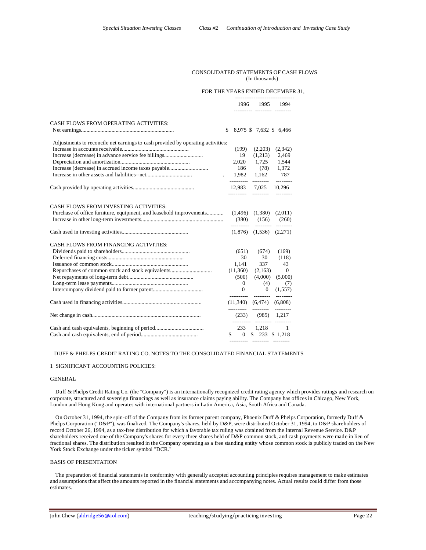# CONSOLIDATED STATEMENTS OF CASH FLOWS (In thousands)

#### FOR THE YEARS ENDED DECEMBER 31,

|                                                                                 | 1996                | 1995<br>-------- --------- -------- | 1994                |
|---------------------------------------------------------------------------------|---------------------|-------------------------------------|---------------------|
| CASH FLOWS FROM OPERATING ACTIVITIES:                                           |                     |                                     |                     |
|                                                                                 | \$.                 | 8,975 \$ 7,632 \$ 6,466             |                     |
| Adjustments to reconcile net earnings to cash provided by operating activities: |                     |                                     |                     |
|                                                                                 | (199)               | (2,203)                             | (2,342)             |
| Increase (decrease) in advance service fee billings                             | 19                  | (1,213)                             | 2,469               |
|                                                                                 |                     | 2,020 1,725 1,544                   |                     |
|                                                                                 |                     | 186 (78) 1,372                      |                     |
|                                                                                 | $1,982$ $1,162$ 787 |                                     |                     |
|                                                                                 |                     | ---------- ---------                | ---------           |
|                                                                                 |                     | 12,983 7,025 10,296                 |                     |
|                                                                                 | -----------         | ----------                          |                     |
|                                                                                 |                     |                                     |                     |
| <b>CASH FLOWS FROM INVESTING ACTIVITIES:</b>                                    |                     |                                     |                     |
| Purchase of office furniture, equipment, and leasehold improvements             |                     | $(1,496)$ $(1,380)$                 | (2,011)             |
|                                                                                 |                     |                                     |                     |
|                                                                                 |                     | $(1,876)$ $(1,536)$ $(2,271)$       | --------- --------- |
| CASH FLOWS FROM FINANCING ACTIVITIES:                                           |                     |                                     |                     |
|                                                                                 | (651)               | (674)                               | (169)               |
|                                                                                 | 30                  | 30                                  | (118)               |
|                                                                                 | 1,141               | 337                                 | 43                  |
|                                                                                 | (11,360)            | (2,163)                             | $\overline{0}$      |
|                                                                                 | (500)               | (4,000)                             | (5,000)             |
|                                                                                 | $\overline{0}$      | (4)                                 | (7)                 |
|                                                                                 | $\Omega$            | $\overline{0}$                      | (1,557)             |
|                                                                                 |                     | ----------  ---------               | ----------          |
|                                                                                 |                     | $(11,340)$ $(6,474)$ $(6,808)$      |                     |
|                                                                                 | ----------          | $(233)$ $(985)$ 1,217               |                     |
|                                                                                 |                     | ---------- --------- ---------      |                     |
|                                                                                 |                     | 233 1,218 1                         |                     |
|                                                                                 |                     | $$ 0 \t$ 233 \t$ 1,218$             |                     |
|                                                                                 |                     | ---------- -------- --------        |                     |

--------------------------------

#### DUFF & PHELPS CREDIT RATING CO. NOTES TO THE CONSOLIDATED FINANCIAL STATEMENTS

#### 1 SIGNIFICANT ACCOUNTING POLICIES:

### GENERAL

 Duff & Phelps Credit Rating Co. (the "Company") is an internationally recognized credit rating agency which provides ratings and research on corporate, structured and sovereign financings as well as insurance claims paying ability. The Company has offices in Chicago, New York, London and Hong Kong and operates with international partners in Latin America, Asia, South Africa and Canada.

 On October 31, 1994, the spin-off of the Company from its former parent company, Phoenix Duff & Phelps Corporation, formerly Duff & Phelps Corporation ("D&P"), was finalized. The Company's shares, held by D&P, were distributed October 31, 1994, to D&P shareholders of record October 26, 1994, as a tax-free distribution for which a favorable tax ruling was obtained from the Internal Revenue Service. D&P shareholders received one of the Company's shares for every three shares held of D&P common stock, and cash payments were made in lieu of fractional shares. The distribution resulted in the Company operating as a free standing entity whose common stock is publicly traded on the New York Stock Exchange under the ticker symbol "DCR."

# BASIS OF PRESENTATION

 The preparation of financial statements in conformity with generally accepted accounting principles requires management to make estimates and assumptions that affect the amounts reported in the financial statements and accompanying notes. Actual results could differ from those estimates.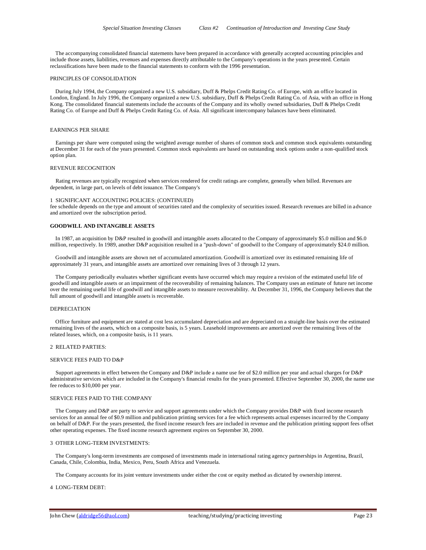The accompanying consolidated financial statements have been prepared in accordance with generally accepted accounting principles and include those assets, liabilities, revenues and expenses directly attributable to the Company's operations in the years presented. Certain reclassifications have been made to the financial statements to conform with the 1996 presentation.

#### PRINCIPLES OF CONSOLIDATION

 During July 1994, the Company organized a new U.S. subsidiary, Duff & Phelps Credit Rating Co. of Europe, with an office located in London, England. In July 1996, the Company organized a new U.S. subsidiary, Duff & Phelps Credit Rating Co. of Asia, with an office in Hong Kong. The consolidated financial statements include the accounts of the Company and its wholly owned subsidiaries, Duff & Phelps Credit Rating Co. of Europe and Duff & Phelps Credit Rating Co. of Asia. All significant intercompany balances have been eliminated.

#### EARNINGS PER SHARE

 Earnings per share were computed using the weighted average number of shares of common stock and common stock equivalents outstanding at December 31 for each of the years presented. Common stock equivalents are based on outstanding stock options under a non-qualified stock option plan.

#### REVENUE RECOGNITION

 Rating revenues are typically recognized when services rendered for credit ratings are complete, generally when billed. Revenues are dependent, in large part, on levels of debt issuance. The Company's

#### 1 SIGNIFICANT ACCOUNTING POLICIES: (CONTINUED)

fee schedule depends on the type and amount of securities rated and the complexity of securities issued. Research revenues are billed in advance and amortized over the subscription period.

#### **GOODWILL AND INTANGIBLE ASSETS**

 In 1987, an acquisition by D&P resulted in goodwill and intangible assets allocated to the Company of approximately \$5.0 million and \$6.0 million, respectively. In 1989, another D&P acquisition resulted in a "push-down" of goodwill to the Company of approximately \$24.0 million.

 Goodwill and intangible assets are shown net of accumulated amortization. Goodwill is amortized over its estimated remaining life of approximately 31 years, and intangible assets are amortized over remaining lives of 3 through 12 years.

 The Company periodically evaluates whether significant events have occurred which may require a revision of the estimated useful life of goodwill and intangible assets or an impairment of the recoverability of remaining balances. The Company uses an estimate of future net income over the remaining useful life of goodwill and intangible assets to measure recoverability. At December 31, 1996, the Company believes that the full amount of goodwill and intangible assets is recoverable.

# DEPRECIATION

 Office furniture and equipment are stated at cost less accumulated depreciation and are depreciated on a straight-line basis over the estimated remaining lives of the assets, which on a composite basis, is 5 years. Leasehold improvements are amortized over the remaining lives of the related leases, which, on a composite basis, is 11 years.

# 2 RELATED PARTIES:

### SERVICE FEES PAID TO D&P

Support agreements in effect between the Company and D&P include a name use fee of \$2.0 million per vear and actual charges for D&P administrative services which are included in the Company's financial results for the years presented. Effective September 30, 2000, the name use fee reduces to \$10,000 per year.

#### SERVICE FEES PAID TO THE COMPANY

 The Company and D&P are party to service and support agreements under which the Company provides D&P with fixed income research services for an annual fee of \$0.9 million and publication printing services for a fee which represents actual expenses incurred by the Company on behalf of D&P. For the years presented, the fixed income research fees are included in revenue and the publication printing support fees offset other operating expenses. The fixed income research agreement expires on September 30, 2000.

#### 3 OTHER LONG-TERM INVESTMENTS:

 The Company's long-term investments are composed of investments made in international rating agency partnerships in Argentina, Brazil, Canada, Chile, Colombia, India, Mexico, Peru, South Africa and Venezuela.

The Company accounts for its joint venture investments under either the cost or equity method as dictated by ownership interest.

#### 4 LONG-TERM DEBT: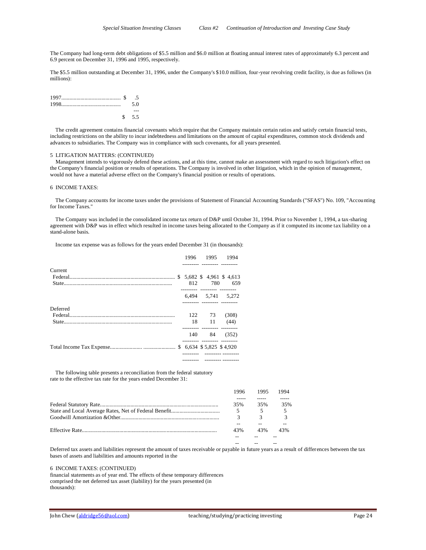The Company had long-term debt obligations of \$5.5 million and \$6.0 million at floating annual interest rates of approximately 6.3 percent and 6.9 percent on December 31, 1996 and 1995, respectively.

The \$5.5 million outstanding at December 31, 1996, under the Company's \$10.0 million, four-year revolving credit facility, is due as follows (in millions):

| $1997$ 5 5 |       |
|------------|-------|
|            | 50    |
|            |       |
|            | \$5.5 |

 The credit agreement contains financial covenants which require that the Company maintain certain ratios and satisfy certain financial tests, including restrictions on the ability to incur indebtedness and limitations on the amount of capital expenditures, common stock dividends and advances to subsidiaries. The Company was in compliance with such covenants, for all years presented.

#### 5 LITIGATION MATTERS: (CONTINUED)

 Management intends to vigorously defend these actions, and at this time, cannot make an assessment with regard to such litigation's effect on the Company's financial position or results of operations. The Company is involved in other litigation, which in the opinion of management, would not have a material adverse effect on the Company's financial position or results of operations.

### 6 INCOME TAXES:

 The Company accounts for income taxes under the provisions of Statement of Financial Accounting Standards ("SFAS") No. 109, "Accounting for Income Taxes."

 The Company was included in the consolidated income tax return of D&P until October 31, 1994. Prior to November 1, 1994, a tax-sharing agreement with D&P was in effect which resulted in income taxes being allocated to the Company as if it computed its income tax liability on a stand-alone basis.

Income tax expense was as follows for the years ended December 31 (in thousands):

|          | 1996 | 1995                             | 1994                        |
|----------|------|----------------------------------|-----------------------------|
| Current  |      |                                  |                             |
|          |      |                                  | $$5.682$$ \$ 4.961 \$ 4.613 |
|          | 812  | 780<br>------- --------- ------- | 659                         |
|          |      |                                  | 6,494 5,741 5,272           |
| Deferred |      |                                  |                             |
|          |      | 122 73                           | (308)                       |
|          | 18   | $\overline{11}$                  | (44)                        |
|          | 140  | 84                               | (352)                       |
|          |      | --------- --------- -------      |                             |
|          |      |                                  |                             |

 The following table presents a reconciliation from the federal statutory rate to the effective tax rate for the years ended December 31:

| 1996 | 1995 | 1994 |
|------|------|------|
|      |      |      |
| 35%  | 35%  | 35%  |
| 5    |      |      |
|      |      |      |
|      |      |      |
| 43%  | 43%  | 43%  |
|      |      |      |
|      |      |      |

Deferred tax assets and liabilities represent the amount of taxes receivable or payable in future years as a result of differences between the tax bases of assets and liabilities and amounts reported in the

6 INCOME TAXES: (CONTINUED)

financial statements as of year end. The effects of these temporary differences comprised the net deferred tax asset (liability) for the years presented (in thousands):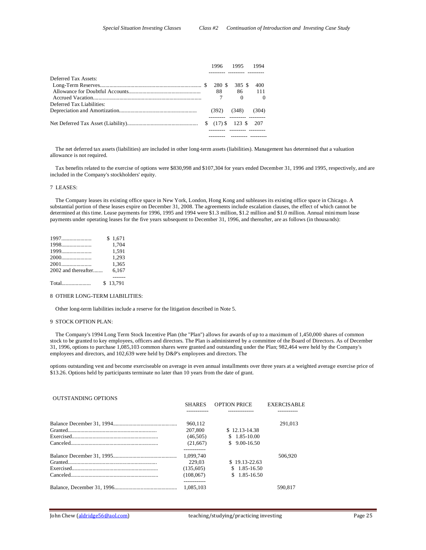|                           |    | 1996.     | 1995       | 1994     |
|---------------------------|----|-----------|------------|----------|
| Deferred Tax Assets:      |    |           |            |          |
|                           |    | 280 \$    | 385 S      | 400      |
|                           |    | 88        | 86         | 111      |
|                           |    |           | 0          | $\Omega$ |
| Deferred Tax Liabilities: |    |           |            |          |
|                           |    | (392)     | (348)      | (304)    |
|                           | S. | $(17)$ \$ | 123 \$ 207 |          |
|                           |    |           |            |          |

 The net deferred tax assets (liabilities) are included in other long-term assets (liabilities). Management has determined that a valuation allowance is not required.

 Tax benefits related to the exercise of options were \$830,998 and \$107,304 for years ended December 31, 1996 and 1995, respectively, and are included in the Company's stockholders' equity.

### 7 LEASES:

 The Company leases its existing office space in New York, London, Hong Kong and subleases its existing office space in Chicago. A substantial portion of these leases expire on December 31, 2008. The agreements include escalation clauses, the effect of which cannot be determined at this time. Lease payments for 1996, 1995 and 1994 were \$1.3 million, \$1.2 million and \$1.0 million. Annual minimum lease payments under operating leases for the five years subsequent to December 31, 1996, and thereafter, are as follows (in thousands):

|                     | \$1.671  |
|---------------------|----------|
| 1998                | 1.704    |
| 1999                | 1.591    |
|                     | 1.293    |
|                     | 1,365    |
| 2002 and thereafter | 6.167    |
|                     |          |
| Total               | \$13.791 |

#### 8 OTHER LONG-TERM LIABILITIES:

Other long-term liabilities include a reserve for the litigation described in Note 5.

## 9 STOCK OPTION PLAN:

 The Company's 1994 Long Term Stock Incentive Plan (the "Plan") allows for awards of up to a maximum of 1,450,000 shares of common stock to be granted to key employees, officers and directors. The Plan is administered by a committee of the Board of Directors. As of December 31, 1996, options to purchase 1,085,103 common shares were granted and outstanding under the Plan; 982,464 were held by the Company's employees and directors, and 102,639 were held by D&P's employees and directors. The

options outstanding vest and become exerciseable on average in even annual installments over three years at a weighted average exercise price of \$13.26. Options held by participants terminate no later than 10 years from the date of grant.

### OUTSTANDING OPTIONS

| <b>SHARES</b> | <b>OPTION PRICE</b> | <b>EXERCISABLE</b> |
|---------------|---------------------|--------------------|
|               |                     |                    |
| 960.112       |                     | 291.013            |
| 207,800       | $$12.13-14.38$      |                    |
| (46.505)      | $$1.85-10.00$       |                    |
| (21,667)      | $$9.00-16.50$       |                    |
|               |                     |                    |
| 1.099.740     |                     | 506.920            |
| 229.03        | $$19.13-22.63$      |                    |
| (135,605)     | $$1.85-16.50$       |                    |
| (108.067)     | $$1.85-16.50$       |                    |
| 1.085.103     |                     | 590.817            |
|               |                     |                    |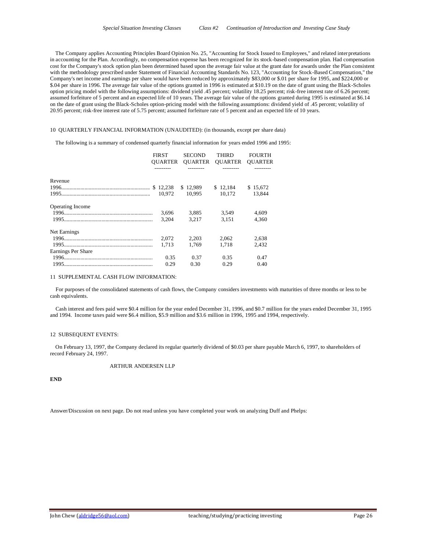The Company applies Accounting Principles Board Opinion No. 25, "Accounting for Stock Issued to Employees," and related interpretations in accounting for the Plan. Accordingly, no compensation expense has been recognized for its stock-based compensation plan. Had compensation cost for the Company's stock option plan been determined based upon the average fair value at the grant date for awards under the Plan consistent with the methodology prescribed under Statement of Financial Accounting Standards No. 123, "Accounting for Stock-Based Compensation," the Company's net income and earnings per share would have been reduced by approximately \$83,000 or \$.01 per share for 1995, and \$224,000 or \$.04 per share in 1996. The average fair value of the options granted in 1996 is estimated at \$10.19 on the date of grant using the Black-Scholes option pricing model with the following assumptions: dividend yield .45 percent; volatility 18.25 percent; risk-free interest rate of 6.26 percent; assumed forfeiture of 5 percent and an expected life of 10 years. The average fair value of the options granted during 1995 is estimated at \$6.14 on the date of grant using the Black-Scholes option-pricing model with the following assumptions: dividend yield of .45 percent; volatility of 20.95 percent; risk-free interest rate of 5.75 percent; assumed forfeiture rate of 5 percent and an expected life of 10 years.

### 10 QUARTERLY FINANCIAL INFORMATION (UNAUDITED): (in thousands, except per share data)

The following is a summary of condensed quarterly financial information for years ended 1996 and 1995:

|                         | <b>FIRST</b><br>OUARTER | <b>SECOND</b> | THIRD<br><b>OUARTER OUARTER</b> | <b>FOURTH</b><br><b>OUARTER</b> |
|-------------------------|-------------------------|---------------|---------------------------------|---------------------------------|
|                         |                         |               |                                 |                                 |
| Revenue                 |                         |               |                                 |                                 |
|                         |                         | \$12.989      | \$12.184                        | \$15,672                        |
|                         |                         | 10.995        | 10.172                          | 13.844                          |
| <b>Operating Income</b> |                         |               |                                 |                                 |
|                         | 3,696                   | 3,885         | 3.549                           | 4.609                           |
|                         | 3.204                   | 3.217         | 3.151                           | 4.360                           |
| Net Earnings            |                         |               |                                 |                                 |
|                         | 2.072                   | 2.203         | 2.062                           | 2.638                           |
|                         | 1.713                   | 1.769         | 1,718                           | 2.432                           |
| Earnings Per Share      |                         |               |                                 |                                 |
|                         | 0.35                    | 0.37          | 0.35                            | 0.47                            |
|                         | 0.29                    | 0.30          | 0.29                            | 0.40                            |

### 11 SUPPLEMENTAL CASH FLOW INFORMATION:

 For purposes of the consolidated statements of cash flows, the Company considers investments with maturities of three months or less to be cash equivalents.

 Cash interest and fees paid were \$0.4 million for the year ended December 31, 1996, and \$0.7 million for the years ended December 31, 1995 and 1994. Income taxes paid were \$6.4 million, \$5.9 million and \$3.6 million in 1996, 1995 and 1994, respectively.

# 12 SUBSEQUENT EVENTS:

 On February 13, 1997, the Company declared its regular quarterly dividend of \$0.03 per share payable March 6, 1997, to shareholders of record February 24, 1997.

## ARTHUR ANDERSEN LLP

**END**

Answer/Discussion on next page. Do not read unless you have completed your work on analyzing Duff and Phelps: